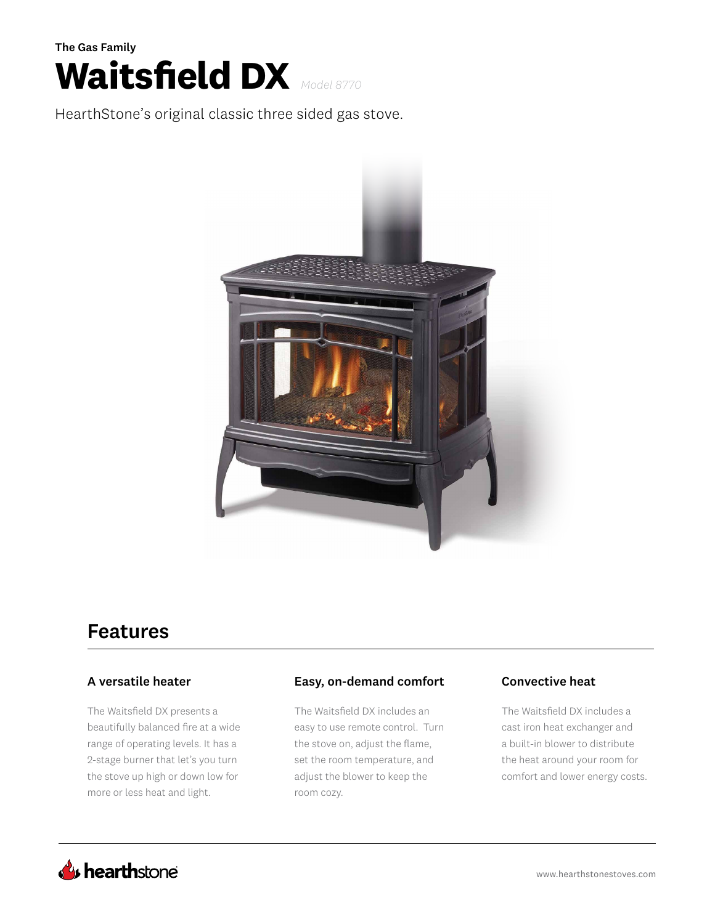

HearthStone's original classic three sided gas stove.



# Features

### A versatile heater

The Waitsfield DX presents a beautifully balanced fire at a wide range of operating levels. It has a 2-stage burner that let's you turn the stove up high or down low for more or less heat and light.

### Easy, on-demand comfort Convective heat

The Waitsfield DX includes an easy to use remote control. Turn the stove on, adjust the flame, set the room temperature, and adjust the blower to keep the room cozy.

The Waitsfield DX includes a cast iron heat exchanger and a built-in blower to distribute the heat around your room for comfort and lower energy costs.